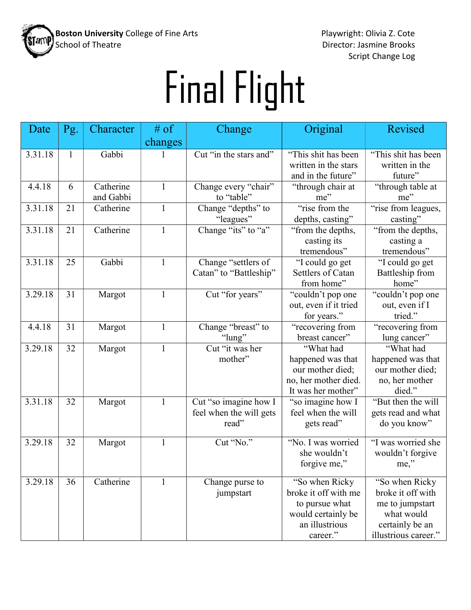

Director: Jasmine Brooks Script Change Log

## Final Flight

| Date    | Pg.          | Character | # of         | Change                  | Original                                   | Revised                  |
|---------|--------------|-----------|--------------|-------------------------|--------------------------------------------|--------------------------|
|         |              |           | changes      |                         |                                            |                          |
| 3.31.18 | $\mathbf{1}$ | Gabbi     | 1            | Cut "in the stars and"  | "This shit has been                        | "This shit has been      |
|         |              |           |              |                         | written in the stars                       | written in the           |
|         |              |           |              |                         | and in the future"                         | future"                  |
| 4.4.18  | 6            | Catherine | $\mathbf{1}$ | Change every "chair"    | "through chair at                          | "through table at        |
|         |              | and Gabbi |              | to "table"              | me"                                        | me"                      |
| 3.31.18 | 21           | Catherine | $\mathbf{1}$ | Change "depths" to      | "rise from the                             | "rise from leagues,      |
|         |              |           |              | "leagues"               | depths, casting"                           | casting"                 |
| 3.31.18 | 21           | Catherine | $\mathbf{1}$ | Change "its" to "a"     | "from the depths,                          | "from the depths,        |
|         |              |           |              |                         | casting its                                | casting a                |
|         |              |           |              |                         | tremendous"                                | tremendous"              |
| 3.31.18 | 25           | Gabbi     | $\mathbf{1}$ | Change "settlers of     | "I could go get                            | "I could go get          |
|         |              |           |              | Catan" to "Battleship"  | Settlers of Catan                          | Battleship from          |
|         |              |           |              |                         | from home"                                 | home"                    |
| 3.29.18 | 31           | Margot    | 1            | Cut "for years"         | "couldn't pop one                          | "couldn't pop one        |
|         |              |           |              |                         | out, even if it tried                      | out, even if I           |
|         |              |           |              |                         | for years."                                | tried."                  |
| 4.4.18  | 31           | Margot    | $\mathbf{1}$ | Change "breast" to      | "recovering from                           | "recovering from         |
|         |              |           |              | "lung"                  | breast cancer"                             | lung cancer"             |
| 3.29.18 | 32           | Margot    | $\mathbf{1}$ | Cut "it was her         | "What had                                  | "What had                |
|         |              |           |              | mother"                 | happened was that                          | happened was that        |
|         |              |           |              |                         | our mother died;                           | our mother died;         |
|         |              |           |              |                         | no, her mother died.<br>It was her mother" | no, her mother<br>died." |
| 3.31.18 | 32           | Margot    |              | Cut "so imagine how I   | "so imagine how I                          | "But then the will       |
|         |              |           |              | feel when the will gets | feel when the will                         | gets read and what       |
|         |              |           |              | read"                   | gets read"                                 | do you know"             |
|         |              |           |              |                         |                                            |                          |
| 3.29.18 | 32           | Margot    | $\mathbf{1}$ | Cut "No."               | "No. I was worried                         | "I was worried she       |
|         |              |           |              |                         | she wouldn't                               | wouldn't forgive         |
|         |              |           |              |                         | forgive me,"                               | me,"                     |
|         |              |           |              |                         |                                            |                          |
| 3.29.18 | 36           | Catherine | 1            | Change purse to         | "So when Ricky                             | "So when Ricky           |
|         |              |           |              | jumpstart               | broke it off with me                       | broke it off with        |
|         |              |           |              |                         | to pursue what                             | me to jumpstart          |
|         |              |           |              |                         | would certainly be                         | what would               |
|         |              |           |              |                         | an illustrious                             | certainly be an          |
|         |              |           |              |                         | career."                                   | illustrious career."     |